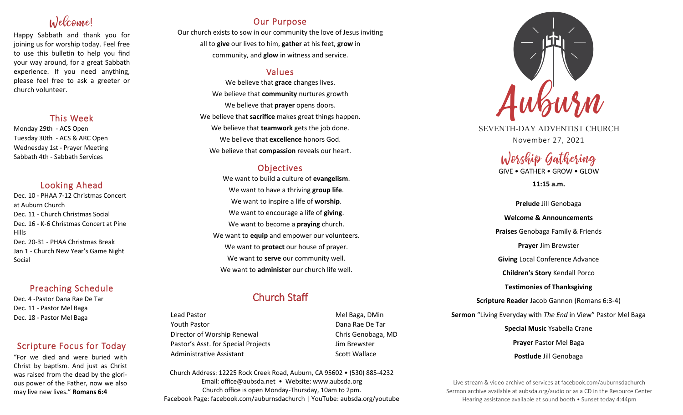# Welcome!

Happy Sabbath and thank you for joining us for worship today. Feel free to use this bulletin to help you find your way around, for a great Sabbath experience. If you need anything, please feel free to ask a greeter or church volunteer.

### This Week

Monday 29th - ACS Open Tuesday 30th - ACS & ARC Open Wednesday 1st - Prayer Meeting Sabbath 4th - Sabbath Services

# Looking Ahead

Dec. 10 - PHAA 7-12 Christmas Concert at Auburn Church Dec. 11 - Church Christmas Social Dec. 16 - K-6 Christmas Concert at Pine Hills Dec. 20-31 - PHAA Christmas Break Jan 1 - Church New Year's Game Night Social

# Preaching Schedule

Dec. 4 -Pastor Dana Rae De Tar Dec. 11 - Pastor Mel Baga Dec. 18 - Pastor Mel Baga

# Scripture Focus for Today

"For we died and were buried with Christ by baptism. And just as Christ was raised from the dead by the glorious power of the Father, now we also may live new lives." **Romans 6:4**

# Our Purpose

Our church exists to sow in our community the love of Jesus inviting all to **give** our lives to him, **gather** at his feet, **grow** in community, and **glow** in witness and service.

# Values

We believe that **grace** changes lives. We believe that **community** nurtures growth We believe that **prayer** opens doors. We believe that **sacrifice** makes great things happen. We believe that **teamwork** gets the job done. We believe that **excellence** honors God. We believe that **compassion** reveals our heart.

# **Objectives**

We want to build a culture of **evangelism**. We want to have a thriving **group life**. We want to inspire a life of **worship**. We want to encourage a life of **giving**. We want to become a **praying** church. We want to **equip** and empower our volunteers. We want to **protect** our house of prayer. We want to **serve** our community well. We want to **administer** our church life well.

# Church Staff

Lead Pastor Nell Baga, DMin Youth Pastor Dana Rae De Tar Director of Worship Renewal **Chris Genobaga**, MD Pastor's Asst. for Special Projects Fig. 3.1 Jim Brewster Administrative Assistant National Controllery Scott Wallace

Church Address: 12225 Rock Creek Road, Auburn, CA 95602 • (530) 885-4232 Email: office@aubsda.net • Website: www.aubsda.org Church office is open Monday-Thursday, 10am to 2pm. Facebook Page: facebook.com/auburnsdachurch | YouTube: aubsda.org/youtube



SEVENTH-DAY ADVENTIST CHURCH November 27, 2021

# Worship Gathering

GIVE • GATHER • GROW • GLOW

**11:15 a.m.**

**Prelude** Jill Genobaga **Welcome & Announcements Praises** Genobaga Family & Friends **Prayer** Jim Brewster **Giving** Local Conference Advance **Children's Story** Kendall Porco **Testimonies of Thanksgiving Scripture Reader** Jacob Gannon (Romans 6:3-4) **Sermon** "Living Everyday with *The End* in View" Pastor Mel Baga **Special Music** Ysabella Crane **Prayer** Pastor Mel Baga **Postlude** Jill Genobaga

Live stream & video archive of services at facebook.com/auburnsdachurch Sermon archive available at aubsda.org/audio or as a CD in the Resource Center Hearing assistance available at sound booth • Sunset today 4:44pm